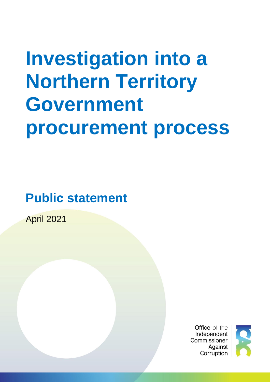# **Investigation into a Northern Territory Government procurement process**

**Public statement**

Investigation into a Northern Territory Government procurement process |**1**

April 2021

**Office** of the Independent Commissioner Against Corruption

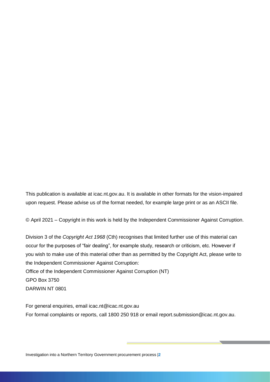This publication is available at icac.nt.gov.au. It is available in other formats for the vision-impaired upon request. Please advise us of the format needed, for example large print or as an ASCII file.

© April 2021 – Copyright in this work is held by the Independent Commissioner Against Corruption.

Division 3 of the *Copyright Act 1968* (Cth) recognises that limited further use of this material can occur for the purposes of "fair dealing", for example study, research or criticism, etc. However if you wish to make use of this material other than as permitted by the Copyright Act, please write to the Independent Commissioner Against Corruption: Office of the Independent Commissioner Against Corruption (NT) GPO Box 3750 DARWIN NT 0801

For general enquiries, email icac.nt@icac.nt.gov.au For formal complaints or reports, call 1800 250 918 or email report.submission@icac.nt.gov.au.

Investigation into a Northern Territory Government procurement process |**2**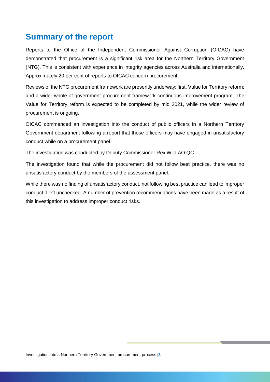# <span id="page-2-0"></span>**Summary of the report**

Reports to the Office of the Independent Commissioner Against Corruption (OICAC) have demonstrated that procurement is a significant risk area for the Northern Territory Government (NTG). This is consistent with experience in integrity agencies across Australia and internationally. Approximately 20 per cent of reports to OICAC concern procurement.

Reviews of the NTG procurement framework are presently underway: first, Value for Territory reform; and a wider whole-of-government procurement framework continuous improvement program. The Value for Territory reform is expected to be completed by mid 2021, while the wider review of procurement is ongoing.

OICAC commenced an investigation into the conduct of public officers in a Northern Territory Government department following a report that those officers may have engaged in unsatisfactory conduct while on a procurement panel.

The investigation was conducted by Deputy Commissioner Rex Wild AO QC.

The investigation found that while the procurement did not follow best practice, there was no unsatisfactory conduct by the members of the assessment panel.

While there was no finding of unsatisfactory conduct, not following best practice can lead to improper conduct if left unchecked. A number of prevention recommendations have been made as a result of this investigation to address improper conduct risks.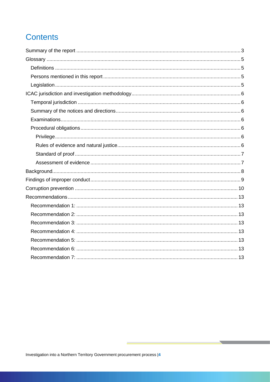# **Contents**

 $\frac{1}{2}$  , and  $\frac{1}{2}$  , and  $\frac{1}{2}$ 

 $\overline{\phantom{a}}$ 

and the control of the control of the control of the control of the control of

**Service Control**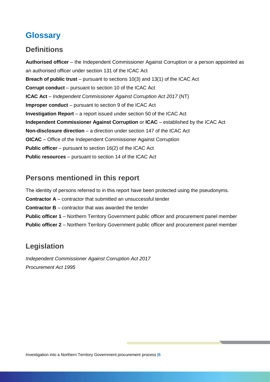# <span id="page-4-0"></span>**Glossary**

## <span id="page-4-1"></span>**Definitions**

**Authorised officer** – the Independent Commissioner Against Corruption or a person appointed as an authorised officer under section 131 of the ICAC Act **Breach of public trust** – pursuant to sections 10(3) and 13(1) of the ICAC Act **Corrupt conduct** – pursuant to section 10 of the ICAC Act **ICAC Act** – *Independent Commissioner Against Corruption Act 2017* (NT) **Improper conduct** – pursuant to section 9 of the ICAC Act **Investigation Report** – a report issued under section 50 of the ICAC Act **Independent Commissioner Against Corruption** or **ICAC** – established by the ICAC Act **Non-disclosure direction** – a direction under section 147 of the ICAC Act **OICAC** – Office of the Independent Commissioner Against Corruption **Public officer** – pursuant to section 16(2) of the ICAC Act **Public resources** – pursuant to section 14 of the ICAC Act

## <span id="page-4-2"></span>**Persons mentioned in this report**

The identity of persons referred to in this report have been protected using the pseudonyms. **Contractor A** – contractor that submitted an unsuccessful tender **Contractor B** – contractor that was awarded the tender **Public officer 1** – Northern Territory Government public officer and procurement panel member **Public officer 2** – Northern Territory Government public officer and procurement panel member

## <span id="page-4-3"></span>**Legislation**

*Independent Commissioner Against Corruption Act 2017 Procurement Act 1995*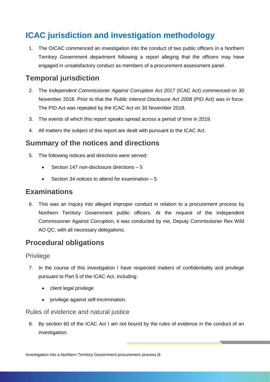# <span id="page-5-0"></span>**ICAC jurisdiction and investigation methodology**

1. The OICAC commenced an investigation into the conduct of two public officers in a Northern Territory Government department following a report alleging that the officers may have engaged in unsatisfactory conduct as members of a procurement assessment panel.

## <span id="page-5-1"></span>**Temporal jurisdiction**

- 2. The *Independent Commissioner Against Corruption Act 2017* (ICAC Act) commenced on 30 November 2018. Prior to that the *Public Interest Disclosure Act 2008* (PID Act) was in force. The PID Act was repealed by the ICAC Act on 30 November 2018.
- 3. The events of which this report speaks spread across a period of time in 2019.
- 4. All matters the subject of this report are dealt with pursuant to the ICAC Act.

## <span id="page-5-2"></span>**Summary of the notices and directions**

- 5. The following notices and directions were served:
	- Section 147 non-disclosure directions 5
	- Section 34 notices to attend for examination 5

### <span id="page-5-3"></span>**Examinations**

6. This was an inquiry into alleged improper conduct in relation to a procurement process by Northern Territory Government public officers. At the request of the Independent Commissioner Against Corruption, it was conducted by me, Deputy Commissioner Rex Wild AO QC, with all necessary delegations.

## <span id="page-5-4"></span>**Procedural obligations**

#### <span id="page-5-5"></span>Privilege

- 7. In the course of this investigation I have respected matters of confidentiality and privilege pursuant to Part 5 of the ICAC Act, including:
	- client legal privilege
	- privilege against self-incrimination.

<span id="page-5-6"></span>Rules of evidence and natural justice

8. By section 60 of the ICAC Act I am not bound by the rules of evidence in the conduct of an investigation.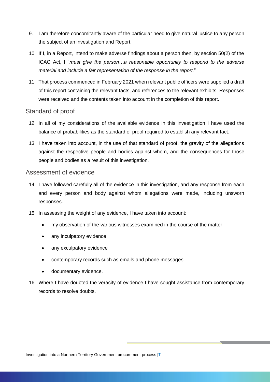- 9. I am therefore concomitantly aware of the particular need to give natural justice to any person the subject of an investigation and Report.
- 10. If I, in a Report, intend to make adverse findings about a person then, by section 50(2) of the ICAC Act, I "*must give the person…a reasonable opportunity to respond to the adverse material and include a fair representation of the response in the report.*"
- 11. That process commenced in February 2021 when relevant public officers were supplied a draft of this report containing the relevant facts, and references to the relevant exhibits. Responses were received and the contents taken into account in the completion of this report.

#### <span id="page-6-0"></span>Standard of proof

- 12. In all of my considerations of the available evidence in this investigation I have used the balance of probabilities as the standard of proof required to establish any relevant fact.
- 13. I have taken into account, in the use of that standard of proof, the gravity of the allegations against the respective people and bodies against whom, and the consequences for those people and bodies as a result of this investigation.

#### <span id="page-6-1"></span>Assessment of evidence

- 14. I have followed carefully all of the evidence in this investigation, and any response from each and every person and body against whom allegations were made, including unsworn responses.
- 15. In assessing the weight of any evidence, I have taken into account:
	- my observation of the various witnesses examined in the course of the matter
	- any inculpatory evidence
	- any exculpatory evidence
	- contemporary records such as emails and phone messages
	- documentary evidence.
- 16. Where I have doubted the veracity of evidence I have sought assistance from contemporary records to resolve doubts.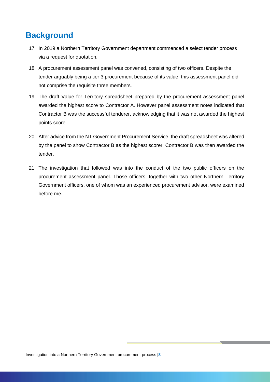# <span id="page-7-0"></span>**Background**

- 17. In 2019 a Northern Territory Government department commenced a select tender process via a request for quotation.
- 18. A procurement assessment panel was convened, consisting of two officers. Despite the tender arguably being a tier 3 procurement because of its value, this assessment panel did not comprise the requisite three members.
- 19. The draft Value for Territory spreadsheet prepared by the procurement assessment panel awarded the highest score to Contractor A. However panel assessment notes indicated that Contractor B was the successful tenderer, acknowledging that it was not awarded the highest points score.
- 20. After advice from the NT Government Procurement Service, the draft spreadsheet was altered by the panel to show Contractor B as the highest scorer. Contractor B was then awarded the tender.
- 21. The investigation that followed was into the conduct of the two public officers on the procurement assessment panel. Those officers, together with two other Northern Territory Government officers, one of whom was an experienced procurement advisor, were examined before me.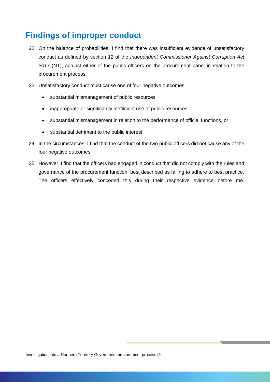# <span id="page-8-0"></span>**Findings of improper conduct**

- 22. On the balance of probabilities, I find that there was insufficient evidence of unsatisfactory conduct as defined by section 12 of the *Independent Commissioner Against Corruption Act 2017* (NT), against either of the public officers on the procurement panel in relation to the procurement process.
- 23. Unsatisfactory conduct must cause one of four negative outcomes:
	- substantial mismanagement of public resources
	- inappropriate or significantly inefficient use of public resources
	- substantial mismanagement in relation to the performance of official functions, or
	- substantial detriment to the public interest.
- 24. In the circumstances, I find that the conduct of the two public officers did not cause any of the four negative outcomes.
- 25. However, I find that the officers had engaged in conduct that did not comply with the rules and governance of the procurement function, best described as failing to adhere to best practice. The officers effectively conceded this during their respective evidence before me.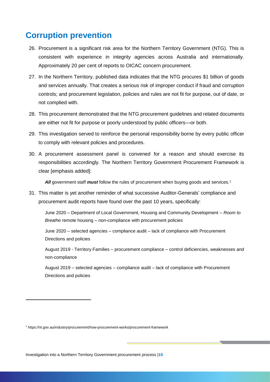## <span id="page-9-0"></span>**Corruption prevention**

- 26. Procurement is a significant risk area for the Northern Territory Government (NTG). This is consistent with experience in integrity agencies across Australia and internationally. Approximately 20 per cent of reports to OICAC concern procurement.
- 27. In the Northern Territory, published data indicates that the NTG procures \$1 billion of goods and services annually. That creates a serious risk of improper conduct if fraud and corruption controls; and procurement legislation, policies and rules are not fit for purpose, out of date, or not complied with.
- 28. This procurement demonstrated that the NTG procurement guidelines and related documents are either not fit for purpose or poorly understood by public officers—or both.
- 29. This investigation served to reinforce the personal responsibility borne by every public officer to comply with relevant policies and procedures.
- 30. A procurement assessment panel is convened for a reason and should exercise its responsibilities accordingly. The Northern Territory Government Procurement Framework is clear [emphasis added]:

**All** government staff *must* follow the rules of procurement when buying goods and services.<sup>1</sup>

31. This matter is yet another reminder of what successive Auditor-Generals' compliance and procurement audit reports have found over the past 10 years, specifically:

June 2020 – Department of Local Government, Housing and Community Development – *Room to Breathe* remote housing – non-compliance with procurement policies

June 2020 – selected agencies – compliance audit – lack of compliance with Procurement Directions and policies

August 2019 - Territory Families – procurement compliance – control deficiencies, weaknesses and non-compliance

August 2019 – selected agencies – compliance audit – lack of compliance with Procurement Directions and policies

-

Investigation into a Northern Territory Government procurement process |**10**

<sup>1</sup> https://nt.gov.au/industry/procurement/how-procurement-works/procurement-framework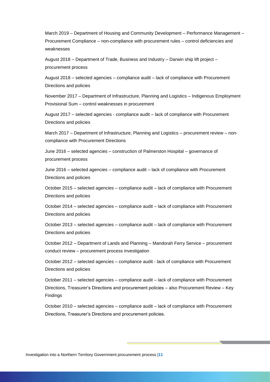March 2019 – Department of Housing and Community Development – Performance Management – Procurement Compliance – non-compliance with procurement rules – control deficiencies and weaknesses

August 2018 – Department of Trade, Business and Industry – Darwin ship lift project – procurement process

August 2018 – selected agencies – compliance audit – lack of compliance with Procurement Directions and policies

November 2017 – Department of Infrastructure, Planning and Logistics – Indigenous Employment Provisional Sum – control weaknesses in procurement

August 2017 – selected agencies - compliance audit – lack of compliance with Procurement Directions and policies

March 2017 – Department of Infrastructure, Planning and Logistics – procurement review – noncompliance with Procurement Directions

June 2016 – selected agencies – construction of Palmerston Hospital – governance of procurement process

June 2016 – selected agencies – compliance audit – lack of compliance with Procurement Directions and policies

October 2015 – selected agencies – compliance audit – lack of compliance with Procurement Directions and policies

October 2014 – selected agencies – compliance audit – lack of compliance with Procurement Directions and policies

October 2013 – selected agencies – compliance audit – lack of compliance with Procurement Directions and policies

October 2012 – Department of Lands and Planning – Mandorah Ferry Service – procurement conduct review – procurement process investigation

October 2012 – selected agencies – compliance audit - lack of compliance with Procurement Directions and policies

October 2011 – selected agencies – compliance audit – lack of compliance with Procurement Directions, Treasurer's Directions and procurement policies – also Procurement Review – Key Findings

October 2010 – selected agencies – compliance audit – lack of compliance with Procurement Directions, Treasurer's Directions and procurement policies.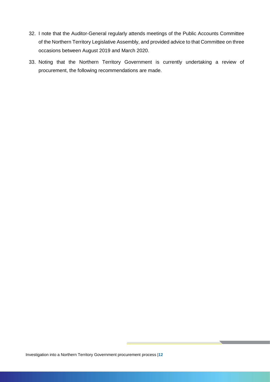- 32. I note that the Auditor-General regularly attends meetings of the Public Accounts Committee of the Northern Territory Legislative Assembly, and provided advice to that Committee on three occasions between August 2019 and March 2020.
- 33. Noting that the Northern Territory Government is currently undertaking a review of procurement, the following recommendations are made.

 $\sim$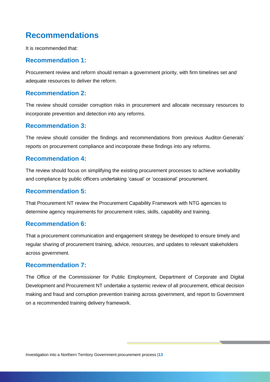# <span id="page-12-0"></span>**Recommendations**

It is recommended that:

#### <span id="page-12-1"></span>**Recommendation 1:**

Procurement review and reform should remain a government priority, with firm timelines set and adequate resources to deliver the reform.

#### <span id="page-12-2"></span>**Recommendation 2:**

The review should consider corruption risks in procurement and allocate necessary resources to incorporate prevention and detection into any reforms.

#### <span id="page-12-3"></span>**Recommendation 3:**

The review should consider the findings and recommendations from previous Auditor-Generals' reports on procurement compliance and incorporate these findings into any reforms.

#### <span id="page-12-4"></span>**Recommendation 4:**

The review should focus on simplifying the existing procurement processes to achieve workability and compliance by public officers undertaking 'casual' or 'occasional' procurement.

#### <span id="page-12-5"></span>**Recommendation 5:**

That Procurement NT review the Procurement Capability Framework with NTG agencies to determine agency requirements for procurement roles, skills, capability and training.

#### <span id="page-12-6"></span>**Recommendation 6:**

That a procurement communication and engagement strategy be developed to ensure timely and regular sharing of procurement training, advice, resources, and updates to relevant stakeholders across government.

#### <span id="page-12-7"></span>**Recommendation 7:**

The Office of the Commissioner for Public Employment, Department of Corporate and Digital Development and Procurement NT undertake a systemic review of all procurement, ethical decision making and fraud and corruption prevention training across government, and report to Government on a recommended training delivery framework.